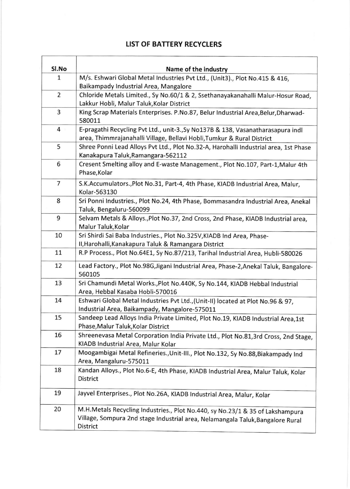## LIST OF BATTERY RECYCLERS

| Sl.No          | Name of the industry                                                                                                                                                               |
|----------------|------------------------------------------------------------------------------------------------------------------------------------------------------------------------------------|
| 1              | M/s. Eshwari Global Metal Industries Pvt Ltd., (Unit3)., Plot No.415 & 416,                                                                                                        |
|                | Baikampady Industrial Area, Mangalore                                                                                                                                              |
| $\overline{2}$ | Chloride Metals Limited., Sy No.60/1 & 2, Ssethanayakanahalli Malur-Hosur Road,                                                                                                    |
|                | Lakkur Hobli, Malur Taluk, Kolar District                                                                                                                                          |
| 3              | King Scrap Materials Enterprises. P.No.87, Belur Industrial Area, Belur, Dharwad-<br>580011                                                                                        |
| $4 \cdot$      | E-pragathi Recycling Pvt Ltd., unit-3., Sy No137B & 138, Vasanatharasapura indl<br>area, Thimmrajanahalli Village, Bellavi Hobli, Tumkur & Rural District                          |
| 5              | Shree Ponni Lead Alloys Pvt Ltd., Plot No.32-A, Harohalli Industrial area, 1st Phase<br>Kanakapura Taluk, Ramangara-562112                                                         |
| 6              | Cresent Smelting alloy and E-waste Management., Plot No.107, Part-1, Malur 4th<br>Phase, Kolar                                                                                     |
| $\overline{7}$ | S.K.Accumulators., Plot No.31, Part-4, 4th Phase, KIADB Industrial Area, Malur,<br>Kolar-563130                                                                                    |
| 8              | Sri Ponni Industries., Plot No.24, 4th Phase, Bommasandra Industrial Area, Anekal<br>Taluk, Bengaluru-560099                                                                       |
| 9              | Selvam Metals & Alloys., Plot No.37, 2nd Cross, 2nd Phase, KIADB Industrial area,<br>Malur Taluk, Kolar                                                                            |
| 10             | Sri Shirdi Sai Baba Industries., Plot No.325V, KIADB Ind Area, Phase-                                                                                                              |
|                | II, Harohalli, Kanakapura Taluk & Ramangara District                                                                                                                               |
| 11             | R.P Process., Plot No.64E1, Sy No.87/213, Tarihal Industrial Area, Hubli-580026                                                                                                    |
| 12             | Lead Factory., Plot No.98G, Jigani Industrial Area, Phase-2, Anekal Taluk, Bangalore-<br>560105                                                                                    |
| 13             | Sri Chamundi Metal Works., Plot No.440K, Sy No.144, KIADB Hebbal Industrial<br>Area, Hebbal Kasaba Hobli-570016                                                                    |
| 14             | Eshwari Global Metal Industries Pvt Ltd., (Unit-II) located at Plot No.96 & 97,<br>Industrial Area, Baikampady, Mangalore-575011                                                   |
| 15             | Sandeep Lead Alloys India Private Limited, Plot No.19, KIADB Industrial Area,1st<br>Phase, Malur Taluk, Kolar District                                                             |
| 16             | Shreenevasa Metal Corporation India Private Ltd., Plot No.81,3rd Cross, 2nd Stage,<br>KIADB Industrial Area, Malur Kolar                                                           |
| 17             | Moogambigai Metal Refineries., Unit-III., Plot No.132, Sy No.88, Biakampady Ind<br>Area, Mangaluru-575011                                                                          |
| 18             | Kandan Alloys., Plot No.6-E, 4th Phase, KIADB Industrial Area, Malur Taluk, Kolar<br><b>District</b>                                                                               |
| 19             | Jayvel Enterprises., Plot No.26A, KIADB Industrial Area, Malur, Kolar                                                                                                              |
| 20             | M.H.Metals Recycling Industries., Plot No.440, sy No.23/1 & 35 of Lakshampura<br>Village, Sompura 2nd stage Industrial area, Nelamangala Taluk, Bangalore Rural<br><b>District</b> |